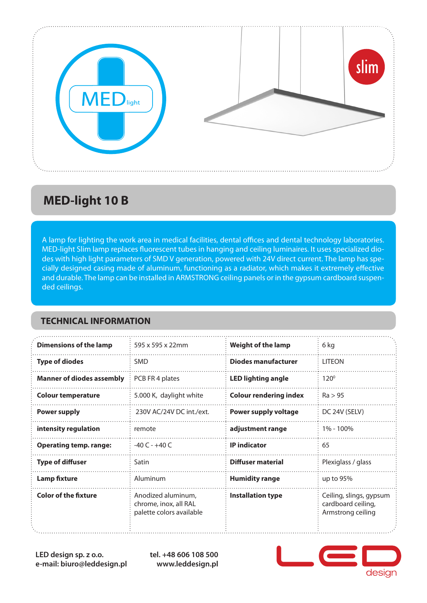

## **MED-light 10 B**

A lamp for lighting the work area in medical facilities, dental offices and dental technology laboratories. MED-light Slim lamp replaces fluorescent tubes in hanging and ceiling luminaires. It uses specialized diodes with high light parameters of SMD V generation, powered with 24V direct current. The lamp has specially designed casing made of aluminum, functioning as a radiator, which makes it extremely effective and durable. The lamp can be installed in ARMSTRONG ceiling panels or in the gypsum cardboard suspended ceilings.

#### **TECHNICAL INFORMATION**

| <b>Dimensions of the lamp</b>    | 595 x 595 x 22mm                                                        | <b>Weight of the lamp</b>     | 6 kg                                                               |
|----------------------------------|-------------------------------------------------------------------------|-------------------------------|--------------------------------------------------------------------|
| <b>Type of diodes</b>            | <b>SMD</b>                                                              | <b>Diodes manufacturer</b>    | <b>LITEON</b>                                                      |
| <b>Manner of diodes assembly</b> | PCB FR 4 plates                                                         | <b>LED lighting angle</b>     | $120^\circ$                                                        |
| <b>Colour temperature</b>        | 5.000 K, daylight white                                                 | <b>Colour rendering index</b> | Ra > 95                                                            |
| <b>Power supply</b>              | 230V AC/24V DC int./ext.                                                | <b>Power supply voltage</b>   | DC 24V (SELV)                                                      |
| intensity regulation             | remote                                                                  | adjustment range              | 1% - 100%                                                          |
| <b>Operating temp. range:</b>    | $-40C - +40C$                                                           | <b>IP</b> indicator           | 65                                                                 |
| <b>Type of diffuser</b>          | Satin                                                                   | Diffuser material             | Plexiglass / glass                                                 |
| <b>Lamp fixture</b>              | Aluminum                                                                | <b>Humidity range</b>         | up to 95%                                                          |
| <b>Color of the fixture</b>      | Anodized aluminum,<br>chrome, inox, all RAL<br>palette colors available | <b>Installation type</b>      | Ceiling, slings, gypsum<br>cardboard ceiling,<br>Armstrong ceiling |

**LED design sp. z o.o. e-mail: biuro@leddesign.pl** **tel. +48 606 108 500 www.leddesign.pl**